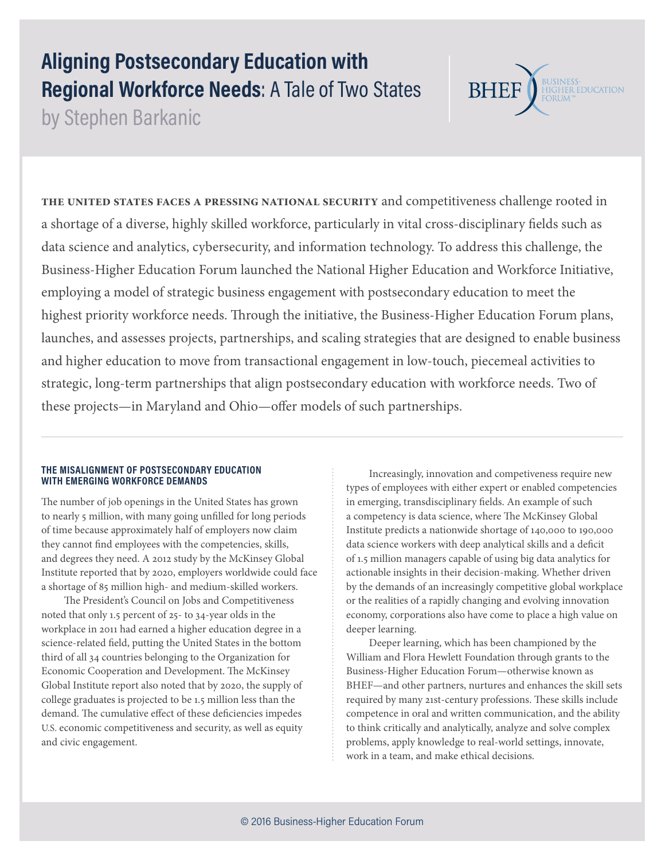# **Aligning Postsecondary Education with Regional Workforce Needs**: A Tale of Two States

by Stephen Barkanic

THE UNITED STATES FACES A PRESSING NATIONAL SECURITY and competitiveness challenge rooted in a shortage of a diverse, highly skilled workforce, particularly in vital cross-disciplinary fields such as data science and analytics, cybersecurity, and information technology. To address this challenge, the Business-Higher Education Forum launched the National Higher Education and Workforce Initiative, employing a model of strategic business engagement with postsecondary education to meet the highest priority workforce needs. Through the initiative, the Business-Higher Education Forum plans, launches, and assesses projects, partnerships, and scaling strategies that are designed to enable business and higher education to move from transactional engagement in low-touch, piecemeal activities to strategic, long-term partnerships that align postsecondary education with workforce needs. Two of these projects—in Maryland and Ohio—offer models of such partnerships.

# **THE MISALIGNMENT OF POSTSECONDARY EDUCATION WITH EMERGING WORKFORCE DEMANDS**

The number of job openings in the United States has grown to nearly 5 million, with many going unfilled for long periods of time because approximately half of employers now claim they cannot find employees with the competencies, skills, and degrees they need. A 2012 study by the McKinsey Global Institute reported that by 2020, employers worldwide could face a shortage of 85 million high- and medium-skilled workers.

The President's Council on Jobs and Competitiveness noted that only 1.5 percent of 25- to 34-year olds in the workplace in 2011 had earned a higher education degree in a science-related field, putting the United States in the bottom third of all 34 countries belonging to the Organization for Economic Cooperation and Development. The McKinsey Global Institute report also noted that by 2020, the supply of college graduates is projected to be 1.5 million less than the demand. The cumulative effect of these deficiencies impedes U.S. economic competitiveness and security, as well as equity and civic engagement.

Increasingly, innovation and competiveness require new types of employees with either expert or enabled competencies in emerging, transdisciplinary fields. An example of such a competency is data science, where The McKinsey Global Institute predicts a nationwide shortage of 140,000 to 190,000 data science workers with deep analytical skills and a deficit of 1.5 million managers capable of using big data analytics for actionable insights in their decision-making. Whether driven by the demands of an increasingly competitive global workplace or the realities of a rapidly changing and evolving innovation economy, corporations also have come to place a high value on deeper learning.

BUSINESS-<br>HIGHER EDUCATION<br>FORUM™

**BHEF** 

Deeper learning, which has been championed by the William and Flora Hewlett Foundation through grants to the Business-Higher Education Forum—otherwise known as BHEF—and other partners, nurtures and enhances the skill sets required by many 21st-century professions. These skills include competence in oral and written communication, and the ability to think critically and analytically, analyze and solve complex problems, apply knowledge to real-world settings, innovate, work in a team, and make ethical decisions.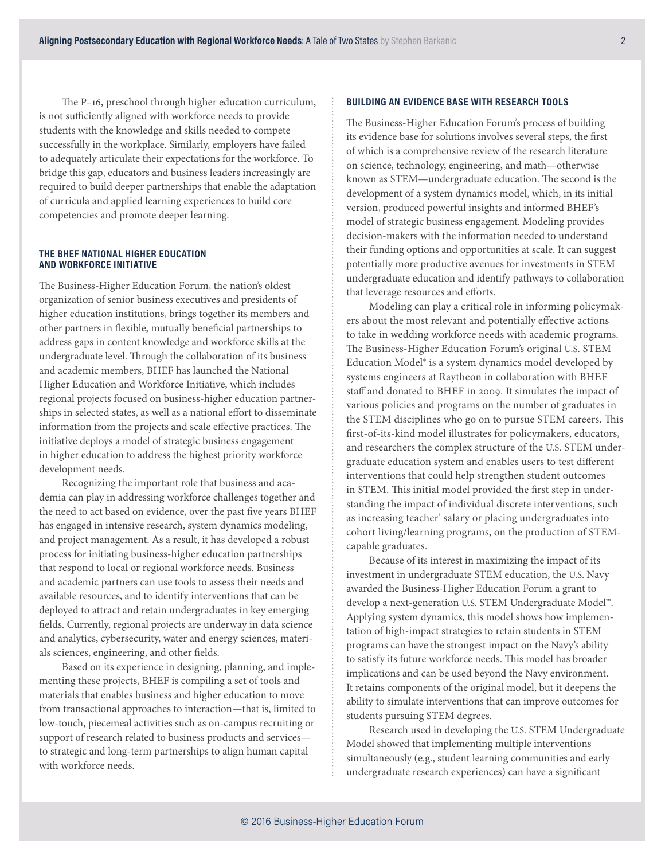The P–16, preschool through higher education curriculum, is not sufficiently aligned with workforce needs to provide students with the knowledge and skills needed to compete successfully in the workplace. Similarly, employers have failed to adequately articulate their expectations for the workforce. To bridge this gap, educators and business leaders increasingly are required to build deeper partnerships that enable the adaptation of curricula and applied learning experiences to build core competencies and promote deeper learning.

#### **THE BHEF NATIONAL HIGHER EDUCATION AND WORKFORCE INITIATIVE**

The Business-Higher Education Forum, the nation's oldest organization of senior business executives and presidents of higher education institutions, brings together its members and other partners in flexible, mutually beneficial partnerships to address gaps in content knowledge and workforce skills at the undergraduate level. Through the collaboration of its business and academic members, BHEF has launched the National Higher Education and Workforce Initiative, which includes regional projects focused on business-higher education partnerships in selected states, as well as a national effort to disseminate information from the projects and scale effective practices. The initiative deploys a model of strategic business engagement in higher education to address the highest priority workforce development needs.

Recognizing the important role that business and academia can play in addressing workforce challenges together and the need to act based on evidence, over the past five years BHEF has engaged in intensive research, system dynamics modeling, and project management. As a result, it has developed a robust process for initiating business-higher education partnerships that respond to local or regional workforce needs. Business and academic partners can use tools to assess their needs and available resources, and to identify interventions that can be deployed to attract and retain undergraduates in key emerging fields. Currently, regional projects are underway in data science and analytics, cybersecurity, water and energy sciences, materials sciences, engineering, and other fields.

Based on its experience in designing, planning, and implementing these projects, BHEF is compiling a set of tools and materials that enables business and higher education to move from transactional approaches to interaction—that is, limited to low-touch, piecemeal activities such as on-campus recruiting or support of research related to business products and services to strategic and long-term partnerships to align human capital with workforce needs.

# **BUILDING AN EVIDENCE BASE WITH RESEARCH TOOLS**

The Business-Higher Education Forum's process of building its evidence base for solutions involves several steps, the first of which is a comprehensive review of the research literature on science, technology, engineering, and math—otherwise known as STEM—undergraduate education. The second is the development of a system dynamics model, which, in its initial version, produced powerful insights and informed BHEF's model of strategic business engagement. Modeling provides decision-makers with the information needed to understand their funding options and opportunities at scale. It can suggest potentially more productive avenues for investments in STEM undergraduate education and identify pathways to collaboration that leverage resources and efforts.

Modeling can play a critical role in informing policymakers about the most relevant and potentially effective actions to take in wedding workforce needs with academic programs. The Business-Higher Education Forum's original U.S. STEM Education Model® is a system dynamics model developed by systems engineers at Raytheon in collaboration with BHEF staff and donated to BHEF in 2009. It simulates the impact of various policies and programs on the number of graduates in the STEM disciplines who go on to pursue STEM careers. This first-of-its-kind model illustrates for policymakers, educators, and researchers the complex structure of the U.S. STEM undergraduate education system and enables users to test different interventions that could help strengthen student outcomes in STEM. This initial model provided the first step in understanding the impact of individual discrete interventions, such as increasing teacher' salary or placing undergraduates into cohort living/learning programs, on the production of STEMcapable graduates.

Because of its interest in maximizing the impact of its investment in undergraduate STEM education, the U.S. Navy awarded the Business-Higher Education Forum a grant to develop a next-generation U.S. STEM Undergraduate Model™. Applying system dynamics, this model shows how implementation of high-impact strategies to retain students in STEM programs can have the strongest impact on the Navy's ability to satisfy its future workforce needs. This model has broader implications and can be used beyond the Navy environment. It retains components of the original model, but it deepens the ability to simulate interventions that can improve outcomes for students pursuing STEM degrees.

Research used in developing the U.S. STEM Undergraduate Model showed that implementing multiple interventions simultaneously (e.g., student learning communities and early undergraduate research experiences) can have a significant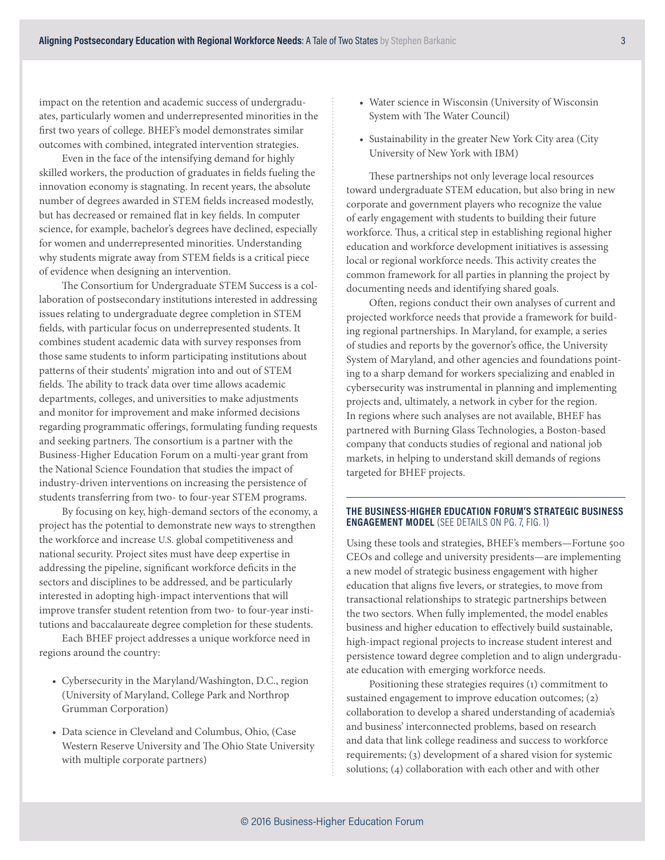impact on the retention and academic success of undergraduates, particularly women and underrepresented minorities in the first two years of college. BHEF's model demonstrates similar outcomes with combined, integrated intervention strategies.

Even in the face of the intensifying demand for highly skilled workers, the production of graduates in fields fueling the innovation economy is stagnating. In recent years, the absolute number of degrees awarded in STEM fields increased modestly, but has decreased or remained flat in key fields. In computer science, for example, bachelor's degrees have declined, especially for women and underrepresented minorities. Understanding why students migrate away from STEM fields is a critical piece of evidence when designing an intervention.

The Consortium for Undergraduate STEM Success is a collaboration of postsecondary institutions interested in addressing issues relating to undergraduate degree completion in STEM fields, with particular focus on underrepresented students. It combines student academic data with survey responses from those same students to inform participating institutions about patterns of their students' migration into and out of STEM fields. The ability to track data over time allows academic departments, colleges, and universities to make adjustments and monitor for improvement and make informed decisions regarding programmatic offerings, formulating funding requests and seeking partners. The consortium is a partner with the Business-Higher Education Forum on a multi-year grant from the National Science Foundation that studies the impact of industry-driven interventions on increasing the persistence of students transferring from two- to four-year STEM programs.

By focusing on key, high-demand sectors of the economy, a project has the potential to demonstrate new ways to strengthen the workforce and increase U.S. global competitiveness and national security. Project sites must have deep expertise in addressing the pipeline, significant workforce deficits in the sectors and disciplines to be addressed, and be particularly interested in adopting high-impact interventions that will improve transfer student retention from two- to four-year institutions and baccalaureate degree completion for these students.

Each BHEF project addresses a unique workforce need in regions around the country:

- Cybersecurity in the Maryland/Washington, D.C., region (University of Maryland, College Park and Northrop Grumman Corporation)
- Data science in Cleveland and Columbus, Ohio, (Case Western Reserve University and The Ohio State University with multiple corporate partners)
- Water science in Wisconsin (University of Wisconsin System with The Water Council)
- Sustainability in the greater New York City area (City University of New York with IBM)

These partnerships not only leverage local resources toward undergraduate STEM education, but also bring in new corporate and government players who recognize the value of early engagement with students to building their future workforce. Thus, a critical step in establishing regional higher education and workforce development initiatives is assessing local or regional workforce needs. This activity creates the common framework for all parties in planning the project by documenting needs and identifying shared goals.

Often, regions conduct their own analyses of current and projected workforce needs that provide a framework for building regional partnerships. In Maryland, for example, a series of studies and reports by the governor's office, the University System of Maryland, and other agencies and foundations pointing to a sharp demand for workers specializing and enabled in cybersecurity was instrumental in planning and implementing projects and, ultimately, a network in cyber for the region. In regions where such analyses are not available, BHEF has partnered with Burning Glass Technologies, a Boston-based company that conducts studies of regional and national job markets, in helping to understand skill demands of regions targeted for BHEF projects.

#### **THE BUSINESS-HIGHER EDUCATION FORUM'S STRATEGIC BUSINESS ENGAGEMENT MODEL** (SEE DETAILS ON PG. 7, FIG. 1)

Using these tools and strategies, BHEF's members—Fortune 500 CEOs and college and university presidents—are implementing a new model of strategic business engagement with higher education that aligns five levers, or strategies, to move from transactional relationships to strategic partnerships between the two sectors. When fully implemented, the model enables business and higher education to effectively build sustainable, high-impact regional projects to increase student interest and persistence toward degree completion and to align undergraduate education with emerging workforce needs.

Positioning these strategies requires (1) commitment to sustained engagement to improve education outcomes; (2) collaboration to develop a shared understanding of academia's and business' interconnected problems, based on research and data that link college readiness and success to workforce requirements; (3) development of a shared vision for systemic solutions; (4) collaboration with each other and with other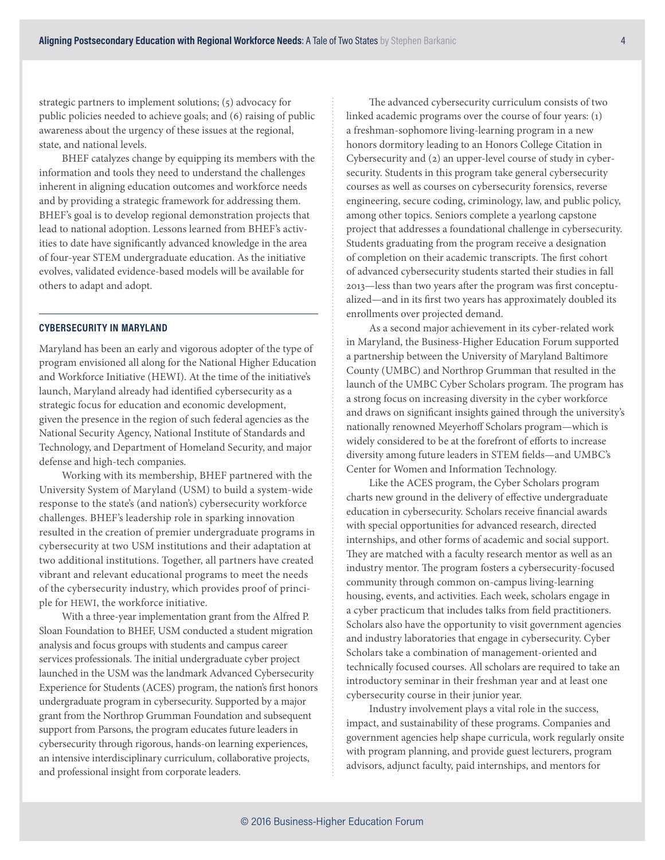strategic partners to implement solutions; (5) advocacy for public policies needed to achieve goals; and (6) raising of public awareness about the urgency of these issues at the regional, state, and national levels.

BHEF catalyzes change by equipping its members with the information and tools they need to understand the challenges inherent in aligning education outcomes and workforce needs and by providing a strategic framework for addressing them. BHEF's goal is to develop regional demonstration projects that lead to national adoption. Lessons learned from BHEF's activities to date have significantly advanced knowledge in the area of four-year STEM undergraduate education. As the initiative evolves, validated evidence-based models will be available for others to adapt and adopt.

# **CYBERSECURITY IN MARYLAND**

Maryland has been an early and vigorous adopter of the type of program envisioned all along for the National Higher Education and Workforce Initiative (HEWI). At the time of the initiative's launch, Maryland already had identified cybersecurity as a strategic focus for education and economic development, given the presence in the region of such federal agencies as the National Security Agency, National Institute of Standards and Technology, and Department of Homeland Security, and major defense and high-tech companies.

Working with its membership, BHEF partnered with the University System of Maryland (USM) to build a system-wide response to the state's (and nation's) cybersecurity workforce challenges. BHEF's leadership role in sparking innovation resulted in the creation of premier undergraduate programs in cybersecurity at two USM institutions and their adaptation at two additional institutions. Together, all partners have created vibrant and relevant educational programs to meet the needs of the cybersecurity industry, which provides proof of principle for HEWI, the workforce initiative.

With a three-year implementation grant from the Alfred P. Sloan Foundation to BHEF, USM conducted a student migration analysis and focus groups with students and campus career services professionals. The initial undergraduate cyber project launched in the USM was the landmark Advanced Cybersecurity Experience for Students (ACES) program, the nation's first honors undergraduate program in cybersecurity. Supported by a major grant from the Northrop Grumman Foundation and subsequent support from Parsons, the program educates future leaders in cybersecurity through rigorous, hands-on learning experiences, an intensive interdisciplinary curriculum, collaborative projects, and professional insight from corporate leaders.

The advanced cybersecurity curriculum consists of two linked academic programs over the course of four years: (1) a freshman-sophomore living-learning program in a new honors dormitory leading to an Honors College Citation in Cybersecurity and (2) an upper-level course of study in cybersecurity. Students in this program take general cybersecurity courses as well as courses on cybersecurity forensics, reverse engineering, secure coding, criminology, law, and public policy, among other topics. Seniors complete a yearlong capstone project that addresses a foundational challenge in cybersecurity. Students graduating from the program receive a designation of completion on their academic transcripts. The first cohort of advanced cybersecurity students started their studies in fall 2013—less than two years after the program was first conceptualized—and in its first two years has approximately doubled its enrollments over projected demand.

As a second major achievement in its cyber-related work in Maryland, the Business-Higher Education Forum supported a partnership between the University of Maryland Baltimore County (UMBC) and Northrop Grumman that resulted in the launch of the UMBC Cyber Scholars program. The program has a strong focus on increasing diversity in the cyber workforce and draws on significant insights gained through the university's nationally renowned Meyerhoff Scholars program—which is widely considered to be at the forefront of efforts to increase diversity among future leaders in STEM fields—and UMBC's Center for Women and Information Technology.

Like the ACES program, the Cyber Scholars program charts new ground in the delivery of effective undergraduate education in cybersecurity. Scholars receive financial awards with special opportunities for advanced research, directed internships, and other forms of academic and social support. They are matched with a faculty research mentor as well as an industry mentor. The program fosters a cybersecurity-focused community through common on-campus living-learning housing, events, and activities. Each week, scholars engage in a cyber practicum that includes talks from field practitioners. Scholars also have the opportunity to visit government agencies and industry laboratories that engage in cybersecurity. Cyber Scholars take a combination of management-oriented and technically focused courses. All scholars are required to take an introductory seminar in their freshman year and at least one cybersecurity course in their junior year.

Industry involvement plays a vital role in the success, impact, and sustainability of these programs. Companies and government agencies help shape curricula, work regularly onsite with program planning, and provide guest lecturers, program advisors, adjunct faculty, paid internships, and mentors for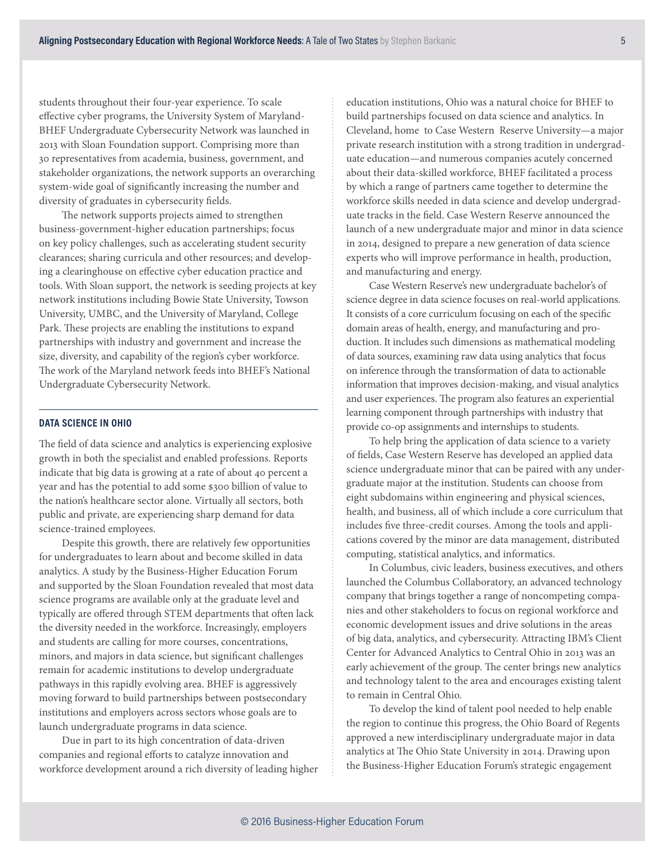students throughout their four-year experience. To scale effective cyber programs, the University System of Maryland-BHEF Undergraduate Cybersecurity Network was launched in 2013 with Sloan Foundation support. Comprising more than 30 representatives from academia, business, government, and stakeholder organizations, the network supports an overarching system-wide goal of significantly increasing the number and diversity of graduates in cybersecurity fields.

The network supports projects aimed to strengthen business-government-higher education partnerships; focus on key policy challenges, such as accelerating student security clearances; sharing curricula and other resources; and developing a clearinghouse on effective cyber education practice and tools. With Sloan support, the network is seeding projects at key network institutions including Bowie State University, Towson University, UMBC, and the University of Maryland, College Park. These projects are enabling the institutions to expand partnerships with industry and government and increase the size, diversity, and capability of the region's cyber workforce. The work of the Maryland network feeds into BHEF's National Undergraduate Cybersecurity Network.

## **DATA SCIENCE IN OHIO**

The field of data science and analytics is experiencing explosive growth in both the specialist and enabled professions. Reports indicate that big data is growing at a rate of about 40 percent a year and has the potential to add some \$300 billion of value to the nation's healthcare sector alone. Virtually all sectors, both public and private, are experiencing sharp demand for data science-trained employees.

Despite this growth, there are relatively few opportunities for undergraduates to learn about and become skilled in data analytics. A study by the Business-Higher Education Forum and supported by the Sloan Foundation revealed that most data science programs are available only at the graduate level and typically are offered through STEM departments that often lack the diversity needed in the workforce. Increasingly, employers and students are calling for more courses, concentrations, minors, and majors in data science, but significant challenges remain for academic institutions to develop undergraduate pathways in this rapidly evolving area. BHEF is aggressively moving forward to build partnerships between postsecondary institutions and employers across sectors whose goals are to launch undergraduate programs in data science.

Due in part to its high concentration of data-driven companies and regional efforts to catalyze innovation and workforce development around a rich diversity of leading higher education institutions, Ohio was a natural choice for BHEF to build partnerships focused on data science and analytics. In Cleveland, home to Case Western Reserve University—a major private research institution with a strong tradition in undergraduate education—and numerous companies acutely concerned about their data-skilled workforce, BHEF facilitated a process by which a range of partners came together to determine the workforce skills needed in data science and develop undergraduate tracks in the field. Case Western Reserve announced the launch of a new undergraduate major and minor in data science in 2014, designed to prepare a new generation of data science experts who will improve performance in health, production, and manufacturing and energy.

Case Western Reserve's new undergraduate bachelor's of science degree in data science focuses on real-world applications. It consists of a core curriculum focusing on each of the specific domain areas of health, energy, and manufacturing and production. It includes such dimensions as mathematical modeling of data sources, examining raw data using analytics that focus on inference through the transformation of data to actionable information that improves decision-making, and visual analytics and user experiences. The program also features an experiential learning component through partnerships with industry that provide co-op assignments and internships to students.

To help bring the application of data science to a variety of fields, Case Western Reserve has developed an applied data science undergraduate minor that can be paired with any undergraduate major at the institution. Students can choose from eight subdomains within engineering and physical sciences, health, and business, all of which include a core curriculum that includes five three-credit courses. Among the tools and applications covered by the minor are data management, distributed computing, statistical analytics, and informatics.

In Columbus, civic leaders, business executives, and others launched the Columbus Collaboratory, an advanced technology company that brings together a range of noncompeting companies and other stakeholders to focus on regional workforce and economic development issues and drive solutions in the areas of big data, analytics, and cybersecurity. Attracting IBM's Client Center for Advanced Analytics to Central Ohio in 2013 was an early achievement of the group. The center brings new analytics and technology talent to the area and encourages existing talent to remain in Central Ohio.

To develop the kind of talent pool needed to help enable the region to continue this progress, the Ohio Board of Regents approved a new interdisciplinary undergraduate major in data analytics at The Ohio State University in 2014. Drawing upon the Business-Higher Education Forum's strategic engagement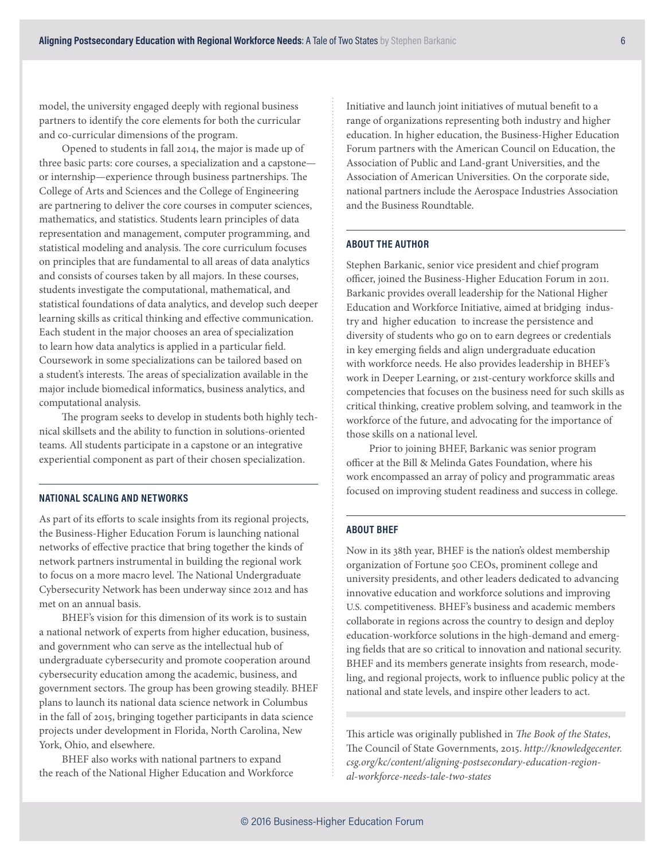model, the university engaged deeply with regional business partners to identify the core elements for both the curricular and co-curricular dimensions of the program.

Opened to students in fall 2014, the major is made up of three basic parts: core courses, a specialization and a capstone or internship—experience through business partnerships. The College of Arts and Sciences and the College of Engineering are partnering to deliver the core courses in computer sciences, mathematics, and statistics. Students learn principles of data representation and management, computer programming, and statistical modeling and analysis. The core curriculum focuses on principles that are fundamental to all areas of data analytics and consists of courses taken by all majors. In these courses, students investigate the computational, mathematical, and statistical foundations of data analytics, and develop such deeper learning skills as critical thinking and effective communication. Each student in the major chooses an area of specialization to learn how data analytics is applied in a particular field. Coursework in some specializations can be tailored based on a student's interests. The areas of specialization available in the major include biomedical informatics, business analytics, and computational analysis.

The program seeks to develop in students both highly technical skillsets and the ability to function in solutions-oriented teams. All students participate in a capstone or an integrative experiential component as part of their chosen specialization.

#### **NATIONAL SCALING AND NETWORKS**

As part of its efforts to scale insights from its regional projects, the Business-Higher Education Forum is launching national networks of effective practice that bring together the kinds of network partners instrumental in building the regional work to focus on a more macro level. The National Undergraduate Cybersecurity Network has been underway since 2012 and has met on an annual basis.

BHEF's vision for this dimension of its work is to sustain a national network of experts from higher education, business, and government who can serve as the intellectual hub of undergraduate cybersecurity and promote cooperation around cybersecurity education among the academic, business, and government sectors. The group has been growing steadily. BHEF plans to launch its national data science network in Columbus in the fall of 2015, bringing together participants in data science projects under development in Florida, North Carolina, New York, Ohio, and elsewhere.

BHEF also works with national partners to expand the reach of the National Higher Education and Workforce Initiative and launch joint initiatives of mutual benefit to a range of organizations representing both industry and higher education. In higher education, the Business-Higher Education Forum partners with the American Council on Education, the Association of Public and Land-grant Universities, and the Association of American Universities. On the corporate side, national partners include the Aerospace Industries Association and the Business Roundtable.

### **ABOUT THE AUTHOR**

Stephen Barkanic, senior vice president and chief program officer, joined the Business-Higher Education Forum in 2011. Barkanic provides overall leadership for the National Higher Education and Workforce Initiative, aimed at bridging industry and higher education to increase the persistence and diversity of students who go on to earn degrees or credentials in key emerging fields and align undergraduate education with workforce needs. He also provides leadership in BHEF's work in Deeper Learning, or 21st-century workforce skills and competencies that focuses on the business need for such skills as critical thinking, creative problem solving, and teamwork in the workforce of the future, and advocating for the importance of those skills on a national level.

Prior to joining BHEF, Barkanic was senior program officer at the Bill & Melinda Gates Foundation, where his work encompassed an array of policy and programmatic areas focused on improving student readiness and success in college.

#### **ABOUT BHEF**

Now in its 38th year, BHEF is the nation's oldest membership organization of Fortune 500 CEOs, prominent college and university presidents, and other leaders dedicated to advancing innovative education and workforce solutions and improving U.S. competitiveness. BHEF's business and academic members collaborate in regions across the country to design and deploy education-workforce solutions in the high-demand and emerging fields that are so critical to innovation and national security. BHEF and its members generate insights from research, modeling, and regional projects, work to influence public policy at the national and state levels, and inspire other leaders to act.

This article was originally published in *The Book of the States*, The Council of State Governments, 2015. *http://knowledgecenter. csg.org/kc/content/aligning-postsecondary-education-regional-workforce-needs-tale-two-states*